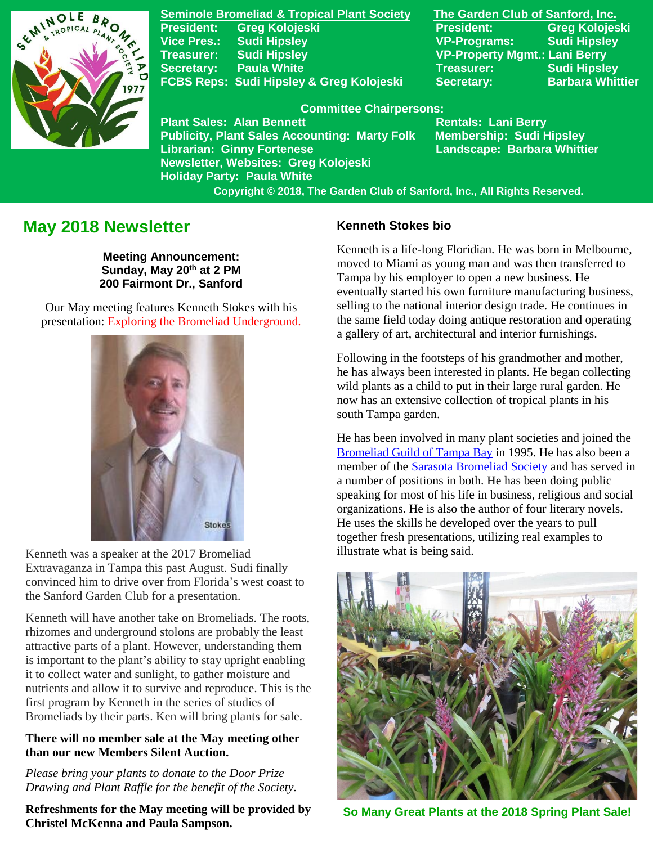

**Seminole Bromeliad & Tropical Plant Society The Garden Club of Sanford, Inc. President: Greg Kolojeski President: Greg Kolojeski Vice Pres.: Sudi Hipsley VP-Programs: Sudi Hipsley Treasurer: Sudi Hipsley VP-Property Mgmt.: Lani Berry Secretary:** Paula White Treasurer: Sudi Hipsley FCBS Reps: Sudi Hipsley & Greg Kolojeski Secretary: Barbara Whittier

## **Committee Chairpersons:**

**Plant Sales: Alan Bennett** Rentals: Lani Berry **Publicity, Plant Sales Accounting: Marty Folk Membership: Sudi Hipsley Librarian: Ginny Fortenese Landscape: Barbara Whittier Newsletter, Websites: Greg Kolojeski Holiday Party: Paula White** 

 **Copyright © 2018, The Garden Club of Sanford, Inc., All Rights Reserved.**

# **May 2018 Newsletter**

**Meeting Announcement: Sunday, May 20th at 2 PM 200 Fairmont Dr., Sanford**

Our May meeting features Kenneth Stokes with his presentation: Exploring the Bromeliad Underground.



Kenneth was a speaker at the 2017 Bromeliad Extravaganza in Tampa this past August. Sudi finally convinced him to drive over from Florida's west coast to the Sanford Garden Club for a presentation.

Kenneth will have another take on Bromeliads. The roots, rhizomes and underground stolons are probably the least attractive parts of a plant. However, understanding them is important to the plant's ability to stay upright enabling it to collect water and sunlight, to gather moisture and nutrients and allow it to survive and reproduce. This is the first program by Kenneth in the series of studies of Bromeliads by their parts. Ken will bring plants for sale.

## **There will no member sale at the May meeting other than our new Members Silent Auction.**

*Please bring your plants to donate to the Door Prize Drawing and Plant Raffle for the benefit of the Society.*

**Refreshments for the May meeting will be provided by Christel McKenna and Paula Sampson.**

## **Kenneth Stokes bio**

Kenneth is a life-long Floridian. He was born in Melbourne, moved to Miami as young man and was then transferred to Tampa by his employer to open a new business. He eventually started his own furniture manufacturing business, selling to the national interior design trade. He continues in the same field today doing antique restoration and operating a gallery of art, architectural and interior furnishings.

Following in the footsteps of his grandmother and mother, he has always been interested in plants. He began collecting wild plants as a child to put in their large rural garden. He now has an extensive collection of tropical plants in his south Tampa garden.

He has been involved in many plant societies and joined the [Bromeliad Guild of Tampa Bay](http://www.bromeliadguildoftampabay.org/) in 1995. He has also been a member of the [Sarasota Bromeliad Society](https://sarasotabromeliadsociety.org/) and has served in a number of positions in both. He has been doing public speaking for most of his life in business, religious and social organizations. He is also the author of four literary novels. He uses the skills he developed over the years to pull together fresh presentations, utilizing real examples to illustrate what is being said.



**So Many Great Plants at the 2018 Spring Plant Sale!**